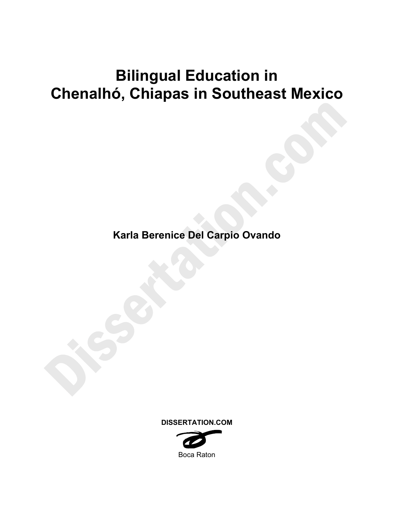# **Bilingual Education in Chenalhó, Chiapas in Southeast Mexico**

**Karla Berenice Del Carpio Ovando** 

**DISSERTATION.COM** 

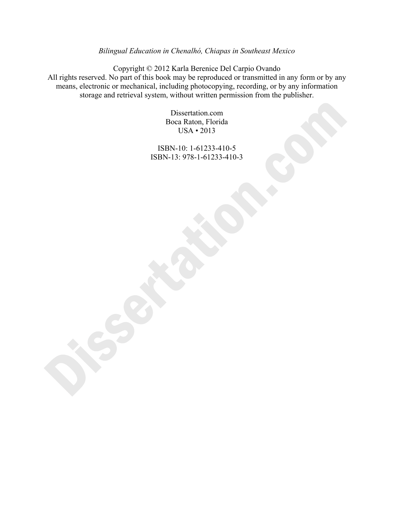# *Bilingual Education in Chenalhó, Chiapas in Southeast Mexico*

Copyright © 2012 Karla Berenice Del Carpio Ovando All rights reserved. No part of this book may be reproduced or transmitted in any form or by any means, electronic or mechanical, including photocopying, recording, or by any information storage and retrieval system, without written permission from the publisher.

> Dissertation.com Boca Raton, Florida USA • 2013

ISBN-10: 1-61233-410-5 ISBN-13: 978-1-61233-410-3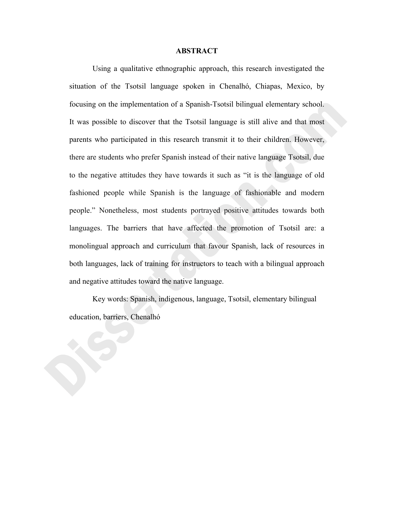## **ABSTRACT**

Using a qualitative ethnographic approach, this research investigated the situation of the Tsotsil language spoken in Chenalhó, Chiapas, Mexico, by focusing on the implementation of a Spanish-Tsotsil bilingual elementary school. It was possible to discover that the Tsotsil language is still alive and that most parents who participated in this research transmit it to their children. However, there are students who prefer Spanish instead of their native language Tsotsil, due to the negative attitudes they have towards it such as "it is the language of old fashioned people while Spanish is the language of fashionable and modern people." Nonetheless, most students portrayed positive attitudes towards both languages. The barriers that have affected the promotion of Tsotsil are: a monolingual approach and curriculum that favour Spanish, lack of resources in both languages, lack of training for instructors to teach with a bilingual approach and negative attitudes toward the native language.

Key words: Spanish, indigenous, language, Tsotsil, elementary bilingual education, barriers, Chenalhó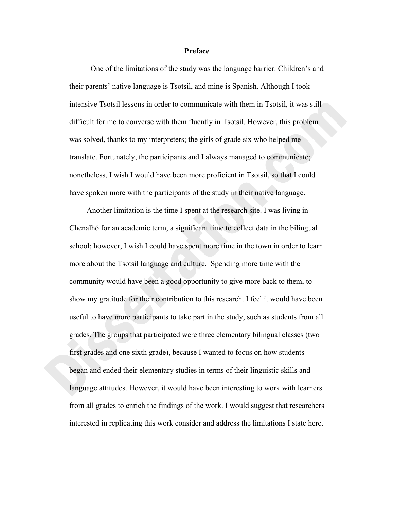### **Preface**

 One of the limitations of the study was the language barrier. Children's and their parents' native language is Tsotsil, and mine is Spanish. Although I took intensive Tsotsil lessons in order to communicate with them in Tsotsil, it was still difficult for me to converse with them fluently in Tsotsil. However, this problem was solved, thanks to my interpreters; the girls of grade six who helped me translate. Fortunately, the participants and I always managed to communicate; nonetheless, I wish I would have been more proficient in Tsotsil, so that I could have spoken more with the participants of the study in their native language.

 Another limitation is the time I spent at the research site. I was living in Chenalhó for an academic term, a significant time to collect data in the bilingual school; however, I wish I could have spent more time in the town in order to learn more about the Tsotsil language and culture. Spending more time with the community would have been a good opportunity to give more back to them, to show my gratitude for their contribution to this research. I feel it would have been useful to have more participants to take part in the study, such as students from all grades. The groups that participated were three elementary bilingual classes (two first grades and one sixth grade), because I wanted to focus on how students began and ended their elementary studies in terms of their linguistic skills and language attitudes. However, it would have been interesting to work with learners from all grades to enrich the findings of the work. I would suggest that researchers interested in replicating this work consider and address the limitations I state here.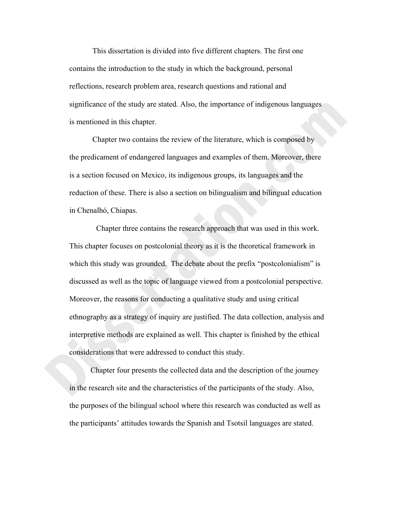This dissertation is divided into five different chapters. The first one contains the introduction to the study in which the background, personal reflections, research problem area, research questions and rational and significance of the study are stated. Also, the importance of indigenous languages is mentioned in this chapter.

 Chapter two contains the review of the literature, which is composed by the predicament of endangered languages and examples of them. Moreover, there is a section focused on Mexico, its indigenous groups, its languages and the reduction of these. There is also a section on bilingualism and bilingual education in Chenalhó, Chiapas.

 Chapter three contains the research approach that was used in this work. This chapter focuses on postcolonial theory as it is the theoretical framework in which this study was grounded. The debate about the prefix "postcolonialism" is discussed as well as the topic of language viewed from a postcolonial perspective. Moreover, the reasons for conducting a qualitative study and using critical ethnography as a strategy of inquiry are justified. The data collection, analysis and interpretive methods are explained as well. This chapter is finished by the ethical considerations that were addressed to conduct this study.

 Chapter four presents the collected data and the description of the journey in the research site and the characteristics of the participants of the study. Also, the purposes of the bilingual school where this research was conducted as well as the participants' attitudes towards the Spanish and Tsotsil languages are stated.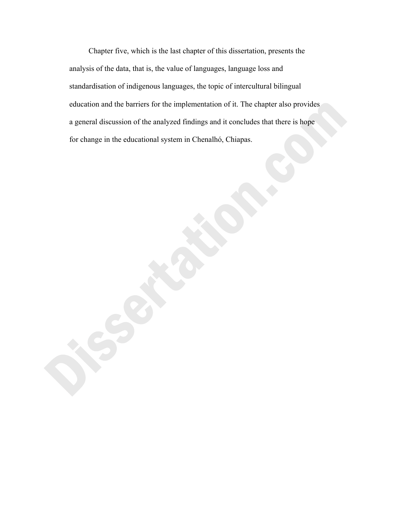Chapter five, which is the last chapter of this dissertation, presents the analysis of the data, that is, the value of languages, language loss and standardisation of indigenous languages, the topic of intercultural bilingual education and the barriers for the implementation of it. The chapter also provides a general discussion of the analyzed findings and it concludes that there is hope for change in the educational system in Chenalhó, Chiapas.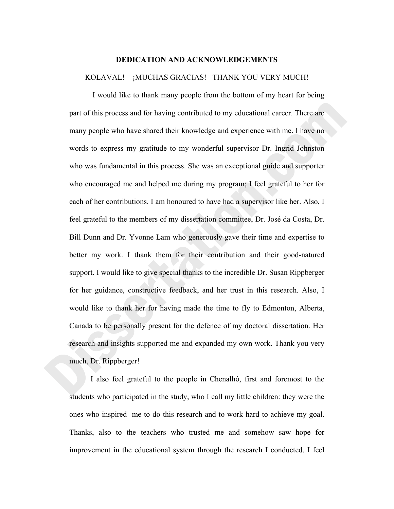#### **DEDICATION AND ACKNOWLEDGEMENTS**

## KOLAVAL! ¡MUCHAS GRACIAS! THANK YOU VERY MUCH!

I would like to thank many people from the bottom of my heart for being part of this process and for having contributed to my educational career. There are many people who have shared their knowledge and experience with me. I have no words to express my gratitude to my wonderful supervisor Dr. Ingrid Johnston who was fundamental in this process. She was an exceptional guide and supporter who encouraged me and helped me during my program; I feel grateful to her for each of her contributions. I am honoured to have had a supervisor like her. Also, I feel grateful to the members of my dissertation committee, Dr. José da Costa, Dr. Bill Dunn and Dr. Yvonne Lam who generously gave their time and expertise to better my work. I thank them for their contribution and their good-natured support. I would like to give special thanks to the incredible Dr. Susan Rippberger for her guidance, constructive feedback, and her trust in this research. Also, I would like to thank her for having made the time to fly to Edmonton, Alberta, Canada to be personally present for the defence of my doctoral dissertation. Her research and insights supported me and expanded my own work. Thank you very much, Dr. Rippberger!

 I also feel grateful to the people in Chenalhó, first and foremost to the students who participated in the study, who I call my little children: they were the ones who inspired me to do this research and to work hard to achieve my goal. Thanks, also to the teachers who trusted me and somehow saw hope for improvement in the educational system through the research I conducted. I feel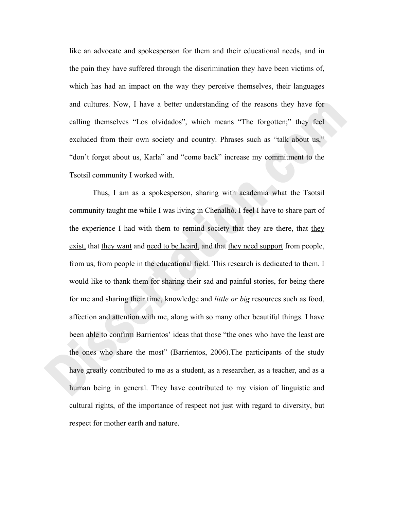like an advocate and spokesperson for them and their educational needs, and in the pain they have suffered through the discrimination they have been victims of, which has had an impact on the way they perceive themselves, their languages and cultures. Now, I have a better understanding of the reasons they have for calling themselves "Los olvidados", which means "The forgotten;" they feel excluded from their own society and country. Phrases such as "talk about us," "don't forget about us, Karla" and "come back" increase my commitment to the Tsotsil community I worked with.

Thus, I am as a spokesperson, sharing with academia what the Tsotsil community taught me while I was living in Chenalhó. I feel I have to share part of the experience I had with them to remind society that they are there, that they exist, that they want and need to be heard, and that they need support from people, from us, from people in the educational field. This research is dedicated to them. I would like to thank them for sharing their sad and painful stories, for being there for me and sharing their time, knowledge and *little or big* resources such as food, affection and attention with me, along with so many other beautiful things. I have been able to confirm Barrientos' ideas that those "the ones who have the least are the ones who share the most" (Barrientos, 2006).The participants of the study have greatly contributed to me as a student, as a researcher, as a teacher, and as a human being in general. They have contributed to my vision of linguistic and cultural rights, of the importance of respect not just with regard to diversity, but respect for mother earth and nature.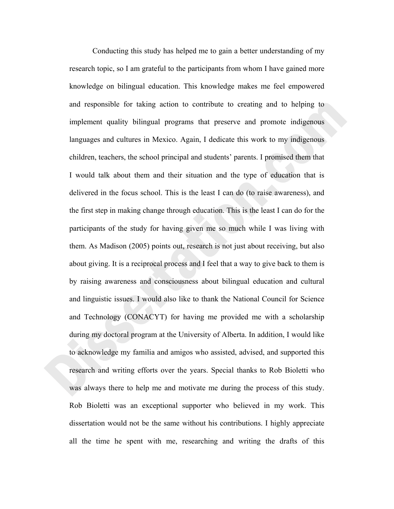Conducting this study has helped me to gain a better understanding of my research topic, so I am grateful to the participants from whom I have gained more knowledge on bilingual education. This knowledge makes me feel empowered and responsible for taking action to contribute to creating and to helping to implement quality bilingual programs that preserve and promote indigenous languages and cultures in Mexico. Again, I dedicate this work to my indigenous children, teachers, the school principal and students' parents. I promised them that I would talk about them and their situation and the type of education that is delivered in the focus school. This is the least I can do (to raise awareness), and the first step in making change through education. This is the least I can do for the participants of the study for having given me so much while I was living with them. As Madison (2005) points out, research is not just about receiving, but also about giving. It is a reciprocal process and I feel that a way to give back to them is by raising awareness and consciousness about bilingual education and cultural and linguistic issues. I would also like to thank the National Council for Science and Technology (CONACYT) for having me provided me with a scholarship during my doctoral program at the University of Alberta. In addition, I would like to acknowledge my familia and amigos who assisted, advised, and supported this research and writing efforts over the years. Special thanks to Rob Bioletti who was always there to help me and motivate me during the process of this study. Rob Bioletti was an exceptional supporter who believed in my work. This dissertation would not be the same without his contributions. I highly appreciate all the time he spent with me, researching and writing the drafts of this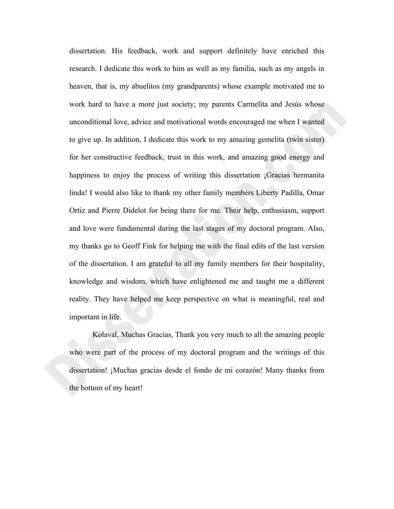dissertation. His feedback, work and support definitely have enriched this research. I dedicate this work to him as well as my familia, such as my angels in heaven, that is, my abuelitos (my grandparents) whose example motivated me to work hard to have a more just society; my parents Carmelita and Jesús whose unconditional love, advice and motivational words encouraged me when I wanted to give up. In addition, I dedicate this work to my amazing gemelita (twin sister) for her constructive feedback, trust in this work, and amazing good energy and happiness to enjoy the process of writing this dissertation *¡Gracias hermanita* linda! I would also like to thank my other family members Liberty Padilla, Omar Ortiz and Pierre Didelot for being there for me. Their help, enthusiasm, support and love were fundamental during the last stages of my doctoral program. Also, my thanks go to Geoff Fink for helping me with the final edits of the last version of the dissertation. I am grateful to all my family members for their hospitality, knowledge and wisdom, which have enlightened me and taught me a different reality. They have helped me keep perspective on what is meaningful, real and important in life.

Kolaval, Muchas Gracias, Thank you very much to all the amazing people who were part of the process of my doctoral program and the writings of this dissertation! ¡Muchas gracias desde el fondo de mi corazón! Many thanks from the bottom of my heart!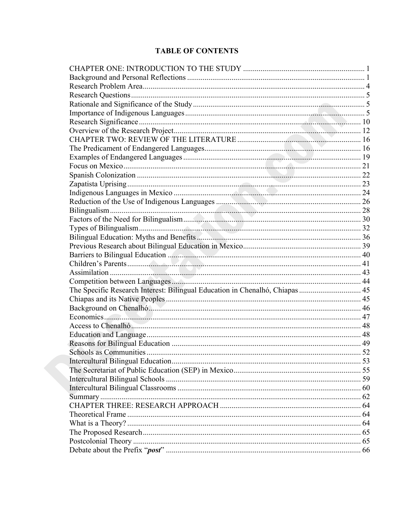# **TABLE OF CONTENTS**

| The Specific Research Interest: Bilingual Education in Chenalhó, Chiapas  45 |  |
|------------------------------------------------------------------------------|--|
|                                                                              |  |
|                                                                              |  |
|                                                                              |  |
|                                                                              |  |
|                                                                              |  |
|                                                                              |  |
|                                                                              |  |
|                                                                              |  |
|                                                                              |  |
|                                                                              |  |
|                                                                              |  |
|                                                                              |  |
|                                                                              |  |
|                                                                              |  |
|                                                                              |  |
|                                                                              |  |
|                                                                              |  |
|                                                                              |  |
|                                                                              |  |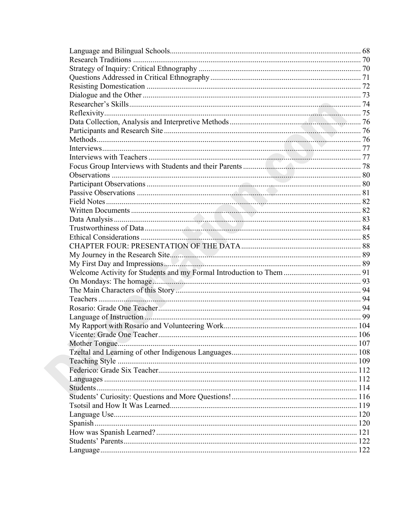|  | .106 |  |  |
|--|------|--|--|
|  |      |  |  |
|  |      |  |  |
|  |      |  |  |
|  |      |  |  |
|  |      |  |  |
|  |      |  |  |
|  |      |  |  |
|  |      |  |  |
|  |      |  |  |
|  |      |  |  |
|  |      |  |  |
|  |      |  |  |
|  |      |  |  |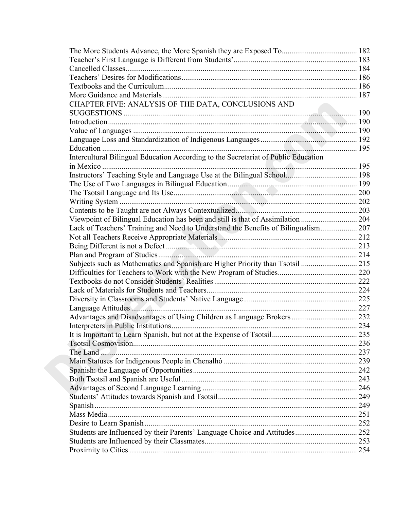| CHAPTER FIVE: ANALYSIS OF THE DATA, CONCLUSIONS AND                                |  |  |  |
|------------------------------------------------------------------------------------|--|--|--|
|                                                                                    |  |  |  |
|                                                                                    |  |  |  |
|                                                                                    |  |  |  |
|                                                                                    |  |  |  |
|                                                                                    |  |  |  |
| Intercultural Bilingual Education According to the Secretariat of Public Education |  |  |  |
|                                                                                    |  |  |  |
|                                                                                    |  |  |  |
|                                                                                    |  |  |  |
|                                                                                    |  |  |  |
|                                                                                    |  |  |  |
|                                                                                    |  |  |  |
| Viewpoint of Bilingual Education has been and still is that of Assimilation  204   |  |  |  |
| Lack of Teachers' Training and Need to Understand the Benefits of Bilingualism 207 |  |  |  |
|                                                                                    |  |  |  |
|                                                                                    |  |  |  |
|                                                                                    |  |  |  |
| Subjects such as Mathematics and Spanish are Higher Priority than Tsotsil  215     |  |  |  |
|                                                                                    |  |  |  |
|                                                                                    |  |  |  |
|                                                                                    |  |  |  |
|                                                                                    |  |  |  |
|                                                                                    |  |  |  |
| Advantages and Disadvantages of Using Children as Language Brokers 232             |  |  |  |
|                                                                                    |  |  |  |
|                                                                                    |  |  |  |
|                                                                                    |  |  |  |
|                                                                                    |  |  |  |
|                                                                                    |  |  |  |
|                                                                                    |  |  |  |
|                                                                                    |  |  |  |
|                                                                                    |  |  |  |
|                                                                                    |  |  |  |
|                                                                                    |  |  |  |
|                                                                                    |  |  |  |
|                                                                                    |  |  |  |
|                                                                                    |  |  |  |
|                                                                                    |  |  |  |
|                                                                                    |  |  |  |
|                                                                                    |  |  |  |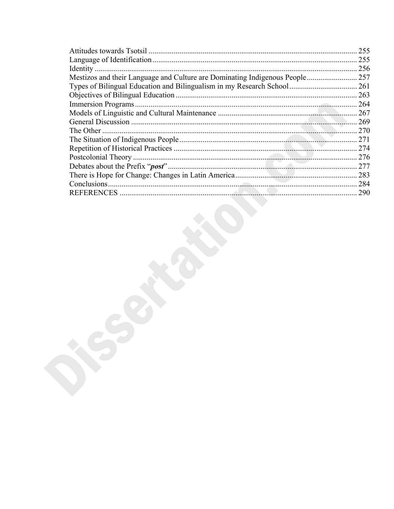|                                                                          | 255 |
|--------------------------------------------------------------------------|-----|
|                                                                          | 255 |
|                                                                          | 256 |
| Mestizos and their Language and Culture are Dominating Indigenous People | 257 |
| Types of Bilingual Education and Bilingualism in my Research School      | 261 |
|                                                                          | 263 |
|                                                                          | 264 |
|                                                                          | 267 |
|                                                                          | 269 |
| The Other.                                                               | 270 |
|                                                                          | 271 |
|                                                                          | 274 |
|                                                                          | 276 |
|                                                                          | 277 |
|                                                                          | 283 |
|                                                                          | 284 |
|                                                                          | 290 |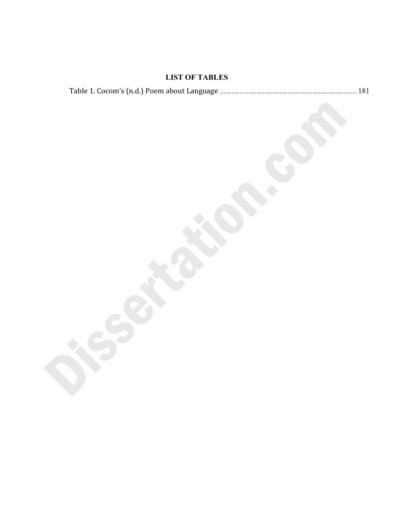# **LIST OF TABLES**

|--|--|--|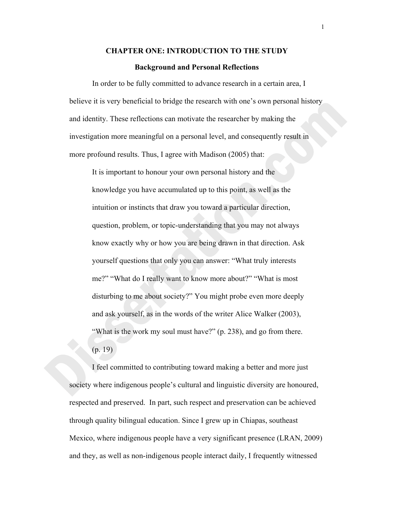## **CHAPTER ONE: INTRODUCTION TO THE STUDY**

### **Background and Personal Reflections**

In order to be fully committed to advance research in a certain area, I believe it is very beneficial to bridge the research with one's own personal history and identity. These reflections can motivate the researcher by making the investigation more meaningful on a personal level, and consequently result in more profound results. Thus, I agree with Madison (2005) that:

It is important to honour your own personal history and the knowledge you have accumulated up to this point, as well as the intuition or instincts that draw you toward a particular direction, question, problem, or topic-understanding that you may not always know exactly why or how you are being drawn in that direction. Ask yourself questions that only you can answer: "What truly interests me?" "What do I really want to know more about?" "What is most disturbing to me about society?" You might probe even more deeply and ask yourself, as in the words of the writer Alice Walker (2003), "What is the work my soul must have?" (p. 238), and go from there. (p. 19)

I feel committed to contributing toward making a better and more just society where indigenous people's cultural and linguistic diversity are honoured, respected and preserved. In part, such respect and preservation can be achieved through quality bilingual education. Since I grew up in Chiapas, southeast Mexico, where indigenous people have a very significant presence (LRAN, 2009) and they, as well as non-indigenous people interact daily, I frequently witnessed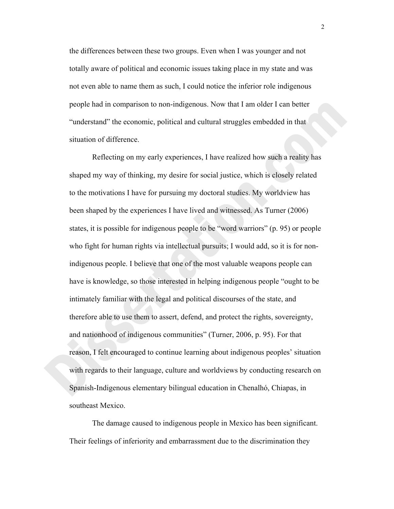the differences between these two groups. Even when I was younger and not totally aware of political and economic issues taking place in my state and was not even able to name them as such, I could notice the inferior role indigenous people had in comparison to non-indigenous. Now that I am older I can better "understand" the economic, political and cultural struggles embedded in that situation of difference.

Reflecting on my early experiences, I have realized how such a reality has shaped my way of thinking, my desire for social justice, which is closely related to the motivations I have for pursuing my doctoral studies. My worldview has been shaped by the experiences I have lived and witnessed. As Turner (2006) states, it is possible for indigenous people to be "word warriors" (p. 95) or people who fight for human rights via intellectual pursuits; I would add, so it is for nonindigenous people. I believe that one of the most valuable weapons people can have is knowledge, so those interested in helping indigenous people "ought to be intimately familiar with the legal and political discourses of the state, and therefore able to use them to assert, defend, and protect the rights, sovereignty, and nationhood of indigenous communities" (Turner, 2006, p. 95). For that reason, I felt encouraged to continue learning about indigenous peoples' situation with regards to their language, culture and worldviews by conducting research on Spanish-Indigenous elementary bilingual education in Chenalhó, Chiapas, in southeast Mexico.

The damage caused to indigenous people in Mexico has been significant. Their feelings of inferiority and embarrassment due to the discrimination they

2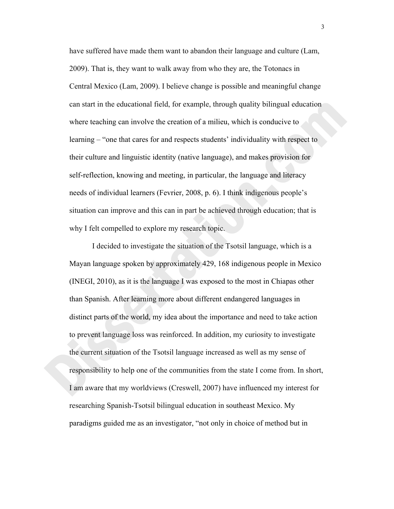have suffered have made them want to abandon their language and culture (Lam, 2009). That is, they want to walk away from who they are, the Totonacs in Central Mexico (Lam, 2009). I believe change is possible and meaningful change can start in the educational field, for example, through quality bilingual education where teaching can involve the creation of a milieu, which is conducive to learning – "one that cares for and respects students' individuality with respect to their culture and linguistic identity (native language), and makes provision for self-reflection, knowing and meeting, in particular, the language and literacy needs of individual learners (Fevrier, 2008, p. 6). I think indigenous people's situation can improve and this can in part be achieved through education; that is why I felt compelled to explore my research topic.

I decided to investigate the situation of the Tsotsil language, which is a Mayan language spoken by approximately 429, 168 indigenous people in Mexico (INEGI, 2010), as it is the language I was exposed to the most in Chiapas other than Spanish. After learning more about different endangered languages in distinct parts of the world, my idea about the importance and need to take action to prevent language loss was reinforced. In addition, my curiosity to investigate the current situation of the Tsotsil language increased as well as my sense of responsibility to help one of the communities from the state I come from. In short, I am aware that my worldviews (Creswell, 2007) have influenced my interest for researching Spanish-Tsotsil bilingual education in southeast Mexico. My paradigms guided me as an investigator, "not only in choice of method but in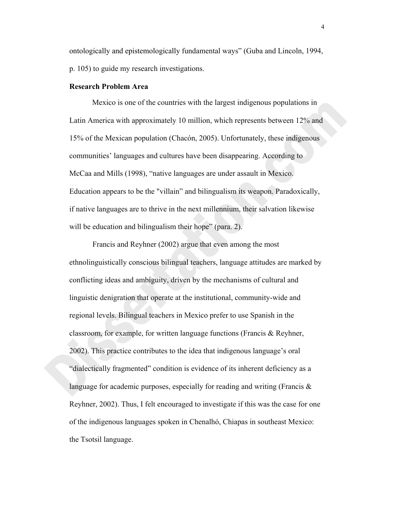ontologically and epistemologically fundamental ways" (Guba and Lincoln, 1994, p. 105) to guide my research investigations.

# **Research Problem Area**

Mexico is one of the countries with the largest indigenous populations in Latin America with approximately 10 million, which represents between 12% and 15% of the Mexican population (Chacón, 2005). Unfortunately, these indigenous communities' languages and cultures have been disappearing. According to McCaa and Mills (1998), "native languages are under assault in Mexico. Education appears to be the "villain" and bilingualism its weapon. Paradoxically, if native languages are to thrive in the next millennium, their salvation likewise will be education and bilingualism their hope" (para. 2).

Francis and Reyhner (2002) argue that even among the most ethnolinguistically conscious bilingual teachers, language attitudes are marked by conflicting ideas and ambiguity, driven by the mechanisms of cultural and linguistic denigration that operate at the institutional, community-wide and regional levels. Bilingual teachers in Mexico prefer to use Spanish in the classroom, for example, for written language functions (Francis & Reyhner, 2002). This practice contributes to the idea that indigenous language's oral "dialectically fragmented" condition is evidence of its inherent deficiency as a language for academic purposes, especially for reading and writing (Francis  $\&$ Reyhner, 2002). Thus, I felt encouraged to investigate if this was the case for one of the indigenous languages spoken in Chenalhó, Chiapas in southeast Mexico: the Tsotsil language.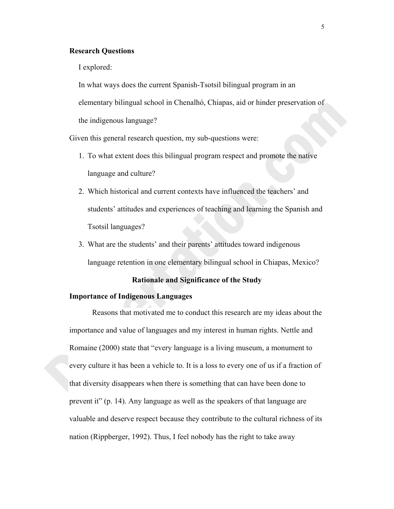## **Research Questions**

I explored:

In what ways does the current Spanish-Tsotsil bilingual program in an elementary bilingual school in Chenalhó, Chiapas, aid or hinder preservation of the indigenous language?

Given this general research question, my sub-questions were:

- 1. To what extent does this bilingual program respect and promote the native language and culture?
- 2. Which historical and current contexts have influenced the teachers' and students' attitudes and experiences of teaching and learning the Spanish and Tsotsil languages?
- 3. What are the students' and their parents' attitudes toward indigenous language retention in one elementary bilingual school in Chiapas, Mexico?

## **Rationale and Significance of the Study**

## **Importance of Indigenous Languages**

Reasons that motivated me to conduct this research are my ideas about the importance and value of languages and my interest in human rights. Nettle and Romaine (2000) state that "every language is a living museum, a monument to every culture it has been a vehicle to. It is a loss to every one of us if a fraction of that diversity disappears when there is something that can have been done to prevent it" (p. 14). Any language as well as the speakers of that language are valuable and deserve respect because they contribute to the cultural richness of its nation (Rippberger, 1992). Thus, I feel nobody has the right to take away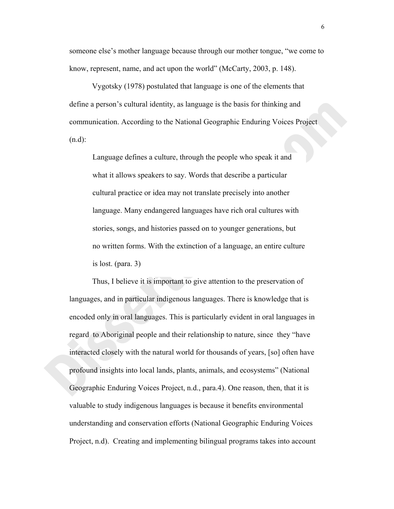someone else's mother language because through our mother tongue, "we come to know, represent, name, and act upon the world" (McCarty, 2003, p. 148).

Vygotsky (1978) postulated that language is one of the elements that define a person's cultural identity, as language is the basis for thinking and communication. According to the National Geographic Enduring Voices Project (n.d):

Language defines a culture, through the people who speak it and what it allows speakers to say. Words that describe a particular cultural practice or idea may not translate precisely into another language. Many endangered languages have rich oral cultures with stories, songs, and histories passed on to younger generations, but no written forms. With the extinction of a language, an entire culture is lost. (para. 3)

Thus, I believe it is important to give attention to the preservation of languages, and in particular indigenous languages. There is knowledge that is encoded only in oral languages. This is particularly evident in oral languages in regard to Aboriginal people and their relationship to nature, since they "have interacted closely with the natural world for thousands of years, [so] often have profound insights into local lands, plants, animals, and ecosystems" (National Geographic Enduring Voices Project, n.d., para.4). One reason, then, that it is valuable to study indigenous languages is because it benefits environmental understanding and conservation efforts (National Geographic Enduring Voices Project, n.d). Creating and implementing bilingual programs takes into account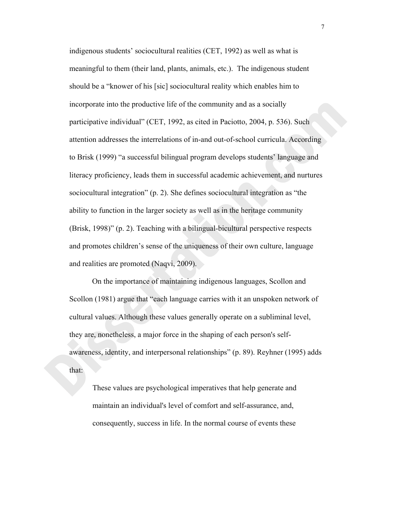indigenous students' sociocultural realities (CET, 1992) as well as what is meaningful to them (their land, plants, animals, etc.). The indigenous student should be a "knower of his [sic] sociocultural reality which enables him to incorporate into the productive life of the community and as a socially participative individual" (CET, 1992, as cited in Paciotto, 2004, p. 536). Such attention addresses the interrelations of in-and out-of-school curricula. According to Brisk (1999) "a successful bilingual program develops students' language and literacy proficiency, leads them in successful academic achievement, and nurtures sociocultural integration" (p. 2). She defines sociocultural integration as "the ability to function in the larger society as well as in the heritage community (Brisk, 1998)" (p. 2). Teaching with a bilingual-bicultural perspective respects and promotes children's sense of the uniqueness of their own culture, language and realities are promoted (Naqvi, 2009).

On the importance of maintaining indigenous languages, Scollon and Scollon (1981) argue that "each language carries with it an unspoken network of cultural values. Although these values generally operate on a subliminal level, they are, nonetheless, a major force in the shaping of each person's selfawareness, identity, and interpersonal relationships" (p. 89). Reyhner (1995) adds that:

These values are psychological imperatives that help generate and maintain an individual's level of comfort and self-assurance, and, consequently, success in life. In the normal course of events these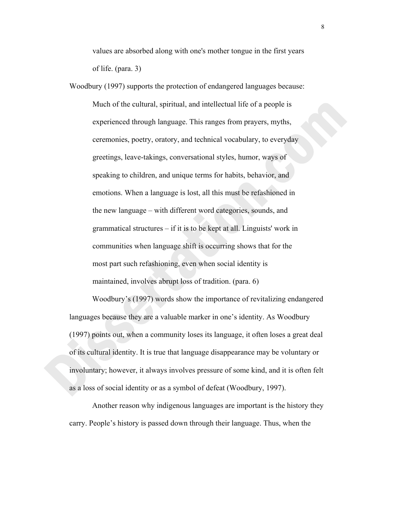values are absorbed along with one's mother tongue in the first years of life. (para. 3)

Woodbury (1997) supports the protection of endangered languages because: Much of the cultural, spiritual, and intellectual life of a people is experienced through language. This ranges from prayers, myths, ceremonies, poetry, oratory, and technical vocabulary, to everyday greetings, leave-takings, conversational styles, humor, ways of speaking to children, and unique terms for habits, behavior, and emotions. When a language is lost, all this must be refashioned in the new language – with different word categories, sounds, and grammatical structures – if it is to be kept at all. Linguists' work in communities when language shift is occurring shows that for the most part such refashioning, even when social identity is maintained, involves abrupt loss of tradition. (para. 6)

Woodbury's (1997) words show the importance of revitalizing endangered languages because they are a valuable marker in one's identity. As Woodbury (1997) points out, when a community loses its language, it often loses a great deal of its cultural identity. It is true that language disappearance may be voluntary or involuntary; however, it always involves pressure of some kind, and it is often felt as a loss of social identity or as a symbol of defeat (Woodbury, 1997).

Another reason why indigenous languages are important is the history they carry. People's history is passed down through their language. Thus, when the